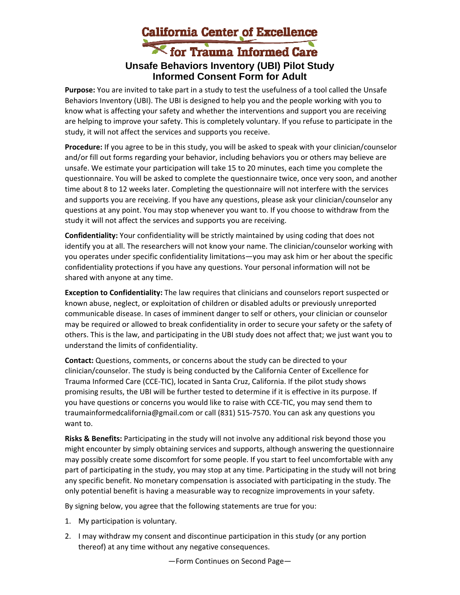## California Center of Excellence **Unsafe Behaviors Inventory (UBI) Pilot Study Informed Consent Form for Adult**

**Purpose:** You are invited to take part in a study to test the usefulness of a tool called the Unsafe Behaviors Inventory (UBI). The UBI is designed to help you and the people working with you to know what is affecting your safety and whether the interventions and support you are receiving are helping to improve your safety. This is completely voluntary. If you refuse to participate in the study, it will not affect the services and supports you receive.

**Procedure:** If you agree to be in this study, you will be asked to speak with your clinician/counselor and/or fill out forms regarding your behavior, including behaviors you or others may believe are unsafe. We estimate your participation will take 15 to 20 minutes, each time you complete the questionnaire. You will be asked to complete the questionnaire twice, once very soon, and another time about 8 to 12 weeks later. Completing the questionnaire will not interfere with the services and supports you are receiving. If you have any questions, please ask your clinician/counselor any questions at any point. You may stop whenever you want to. If you choose to withdraw from the study it will not affect the services and supports you are receiving.

**Confidentiality:** Your confidentiality will be strictly maintained by using coding that does not identify you at all. The researchers will not know your name. The clinician/counselor working with you operates under specific confidentiality limitations—you may ask him or her about the specific confidentiality protections if you have any questions. Your personal information will not be shared with anyone at any time.

**Exception to Confidentiality:** The law requires that clinicians and counselors report suspected or known abuse, neglect, or exploitation of children or disabled adults or previously unreported communicable disease. In cases of imminent danger to self or others, your clinician or counselor may be required or allowed to break confidentiality in order to secure your safety or the safety of others. This is the law, and participating in the UBI study does not affect that; we just want you to understand the limits of confidentiality.

**Contact:** Questions, comments, or concerns about the study can be directed to your clinician/counselor. The study is being conducted by the California Center of Excellence for Trauma Informed Care (CCE‐TIC), located in Santa Cruz, California. If the pilot study shows promising results, the UBI will be further tested to determine if it is effective in its purpose. If you have questions or concerns you would like to raise with CCE‐TIC, you may send them to traumainformedcalifornia@gmail.com or call (831) 515‐7570. You can ask any questions you want to.

**Risks & Benefits:** Participating in the study will not involve any additional risk beyond those you might encounter by simply obtaining services and supports, although answering the questionnaire may possibly create some discomfort for some people. If you start to feel uncomfortable with any part of participating in the study, you may stop at any time. Participating in the study will not bring any specific benefit. No monetary compensation is associated with participating in the study. The only potential benefit is having a measurable way to recognize improvements in your safety.

By signing below, you agree that the following statements are true for you:

- 1. My participation is voluntary.
- 2. I may withdraw my consent and discontinue participation in this study (or any portion thereof) at any time without any negative consequences.

—Form Continues on Second Page—